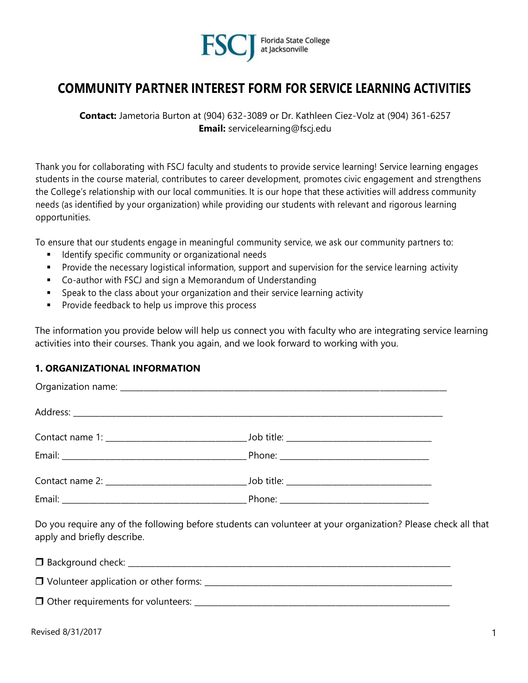

# **COMMUNITY PARTNER INTEREST FORM FOR SERVICE LEARNING ACTIVITIES**

**Contact:** Jametoria Burton at (904) 632-3089 or Dr. Kathleen Ciez-Volz at (904) 361-6257 **Email:** servicelearning@fscj.edu

Thank you for collaborating with FSCJ faculty and students to provide service learning! Service learning engages students in the course material, contributes to career development, promotes civic engagement and strengthens the College's relationship with our local communities. It is our hope that these activities will address community needs (as identified by your organization) while providing our students with relevant and rigorous learning opportunities.

To ensure that our students engage in meaningful community service, we ask our community partners to:

- Identify specific community or organizational needs
- **•** Provide the necessary logistical information, support and supervision for the service learning activity
- Co-author with FSCJ and sign a Memorandum of Understanding
- Speak to the class about your organization and their service learning activity
- Provide feedback to help us improve this process

The information you provide below will help us connect you with faculty who are integrating service learning activities into their courses. Thank you again, and we look forward to working with you.

## **1. ORGANIZATIONAL INFORMATION**

| apply and briefly describe. | Do you require any of the following before students can volunteer at your organization? Please check all that |  |
|-----------------------------|---------------------------------------------------------------------------------------------------------------|--|
|                             |                                                                                                               |  |
|                             |                                                                                                               |  |
|                             |                                                                                                               |  |